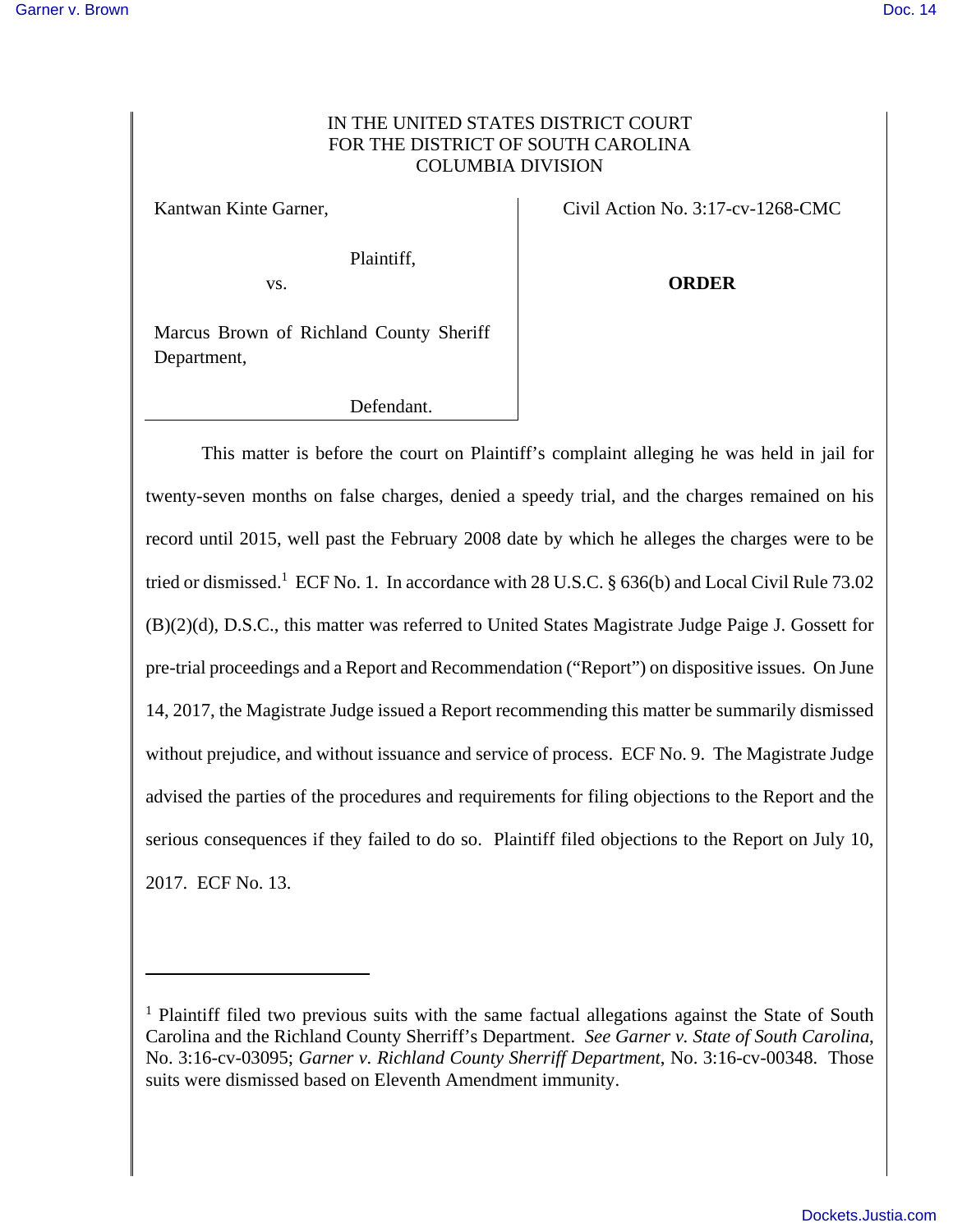## IN THE UNITED STATES DISTRICT COURT FOR THE DISTRICT OF SOUTH CAROLINA COLUMBIA DIVISION

Kantwan Kinte Garner,

 $\overline{a}$ 

Plaintiff,

vs.

Civil Action No. 3:17-cv-1268-CMC

**ORDER** 

Marcus Brown of Richland County Sheriff Department,

Defendant.

 This matter is before the court on Plaintiff's complaint alleging he was held in jail for twenty-seven months on false charges, denied a speedy trial, and the charges remained on his record until 2015, well past the February 2008 date by which he alleges the charges were to be tried or dismissed.<sup>1</sup> ECF No. 1. In accordance with 28 U.S.C. § 636(b) and Local Civil Rule 73.02 (B)(2)(d), D.S.C., this matter was referred to United States Magistrate Judge Paige J. Gossett for pre-trial proceedings and a Report and Recommendation ("Report") on dispositive issues. On June 14, 2017, the Magistrate Judge issued a Report recommending this matter be summarily dismissed without prejudice, and without issuance and service of process. ECF No. 9. The Magistrate Judge advised the parties of the procedures and requirements for filing objections to the Report and the serious consequences if they failed to do so. Plaintiff filed objections to the Report on July 10, 2017. ECF No. 13.

<sup>&</sup>lt;sup>1</sup> Plaintiff filed two previous suits with the same factual allegations against the State of South Carolina and the Richland County Sherriff's Department. *See Garner v. State of South Carolina*, No. 3:16-cv-03095; *Garner v. Richland County Sherriff Department*, No. 3:16-cv-00348. Those suits were dismissed based on Eleventh Amendment immunity.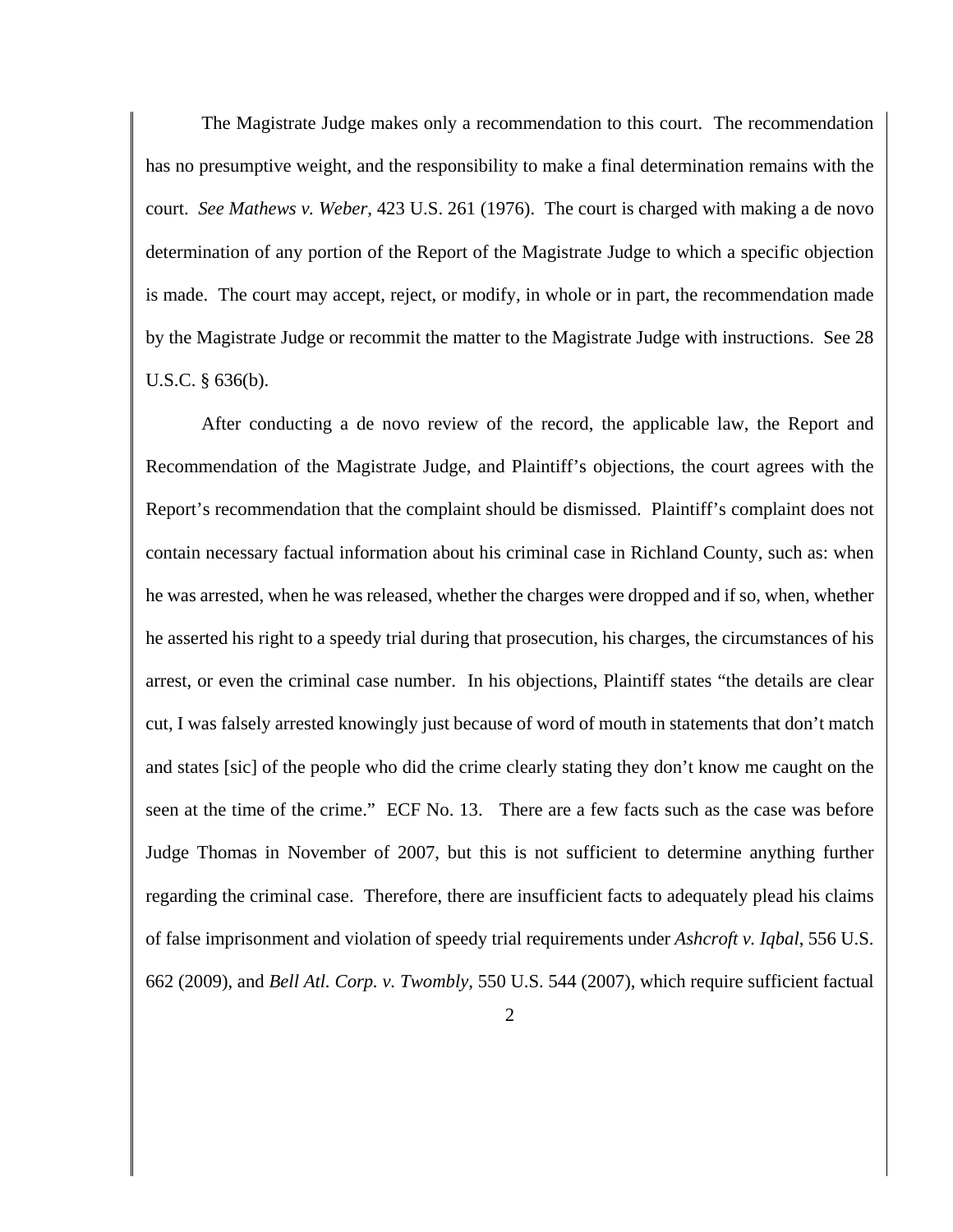The Magistrate Judge makes only a recommendation to this court. The recommendation has no presumptive weight, and the responsibility to make a final determination remains with the court. *See Mathews v. Weber*, 423 U.S. 261 (1976). The court is charged with making a de novo determination of any portion of the Report of the Magistrate Judge to which a specific objection is made. The court may accept, reject, or modify, in whole or in part, the recommendation made by the Magistrate Judge or recommit the matter to the Magistrate Judge with instructions. See 28 U.S.C. § 636(b).

 After conducting a de novo review of the record, the applicable law, the Report and Recommendation of the Magistrate Judge, and Plaintiff's objections, the court agrees with the Report's recommendation that the complaint should be dismissed. Plaintiff's complaint does not contain necessary factual information about his criminal case in Richland County, such as: when he was arrested, when he was released, whether the charges were dropped and if so, when, whether he asserted his right to a speedy trial during that prosecution, his charges, the circumstances of his arrest, or even the criminal case number. In his objections, Plaintiff states "the details are clear cut, I was falsely arrested knowingly just because of word of mouth in statements that don't match and states [sic] of the people who did the crime clearly stating they don't know me caught on the seen at the time of the crime." ECF No. 13. There are a few facts such as the case was before Judge Thomas in November of 2007, but this is not sufficient to determine anything further regarding the criminal case. Therefore, there are insufficient facts to adequately plead his claims of false imprisonment and violation of speedy trial requirements under *Ashcroft v. Iqbal*, 556 U.S. 662 (2009), and *Bell Atl. Corp. v. Twombly*, 550 U.S. 544 (2007), which require sufficient factual